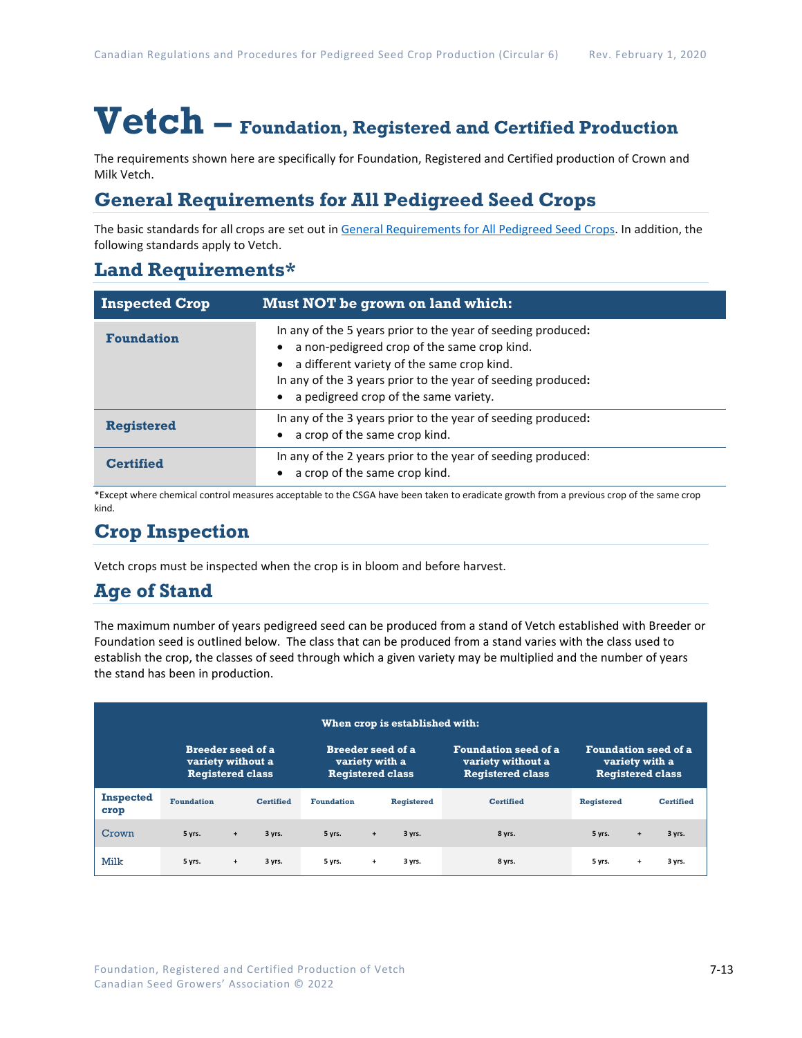# **Vetch – Foundation, Registered and Certified Production**

The requirements shown here are specifically for Foundation, Registered and Certified production of Crown and Milk Vetch.

## **General Requirements for All Pedigreed Seed Crops**

The basic standards for all crops are set out i[n General Requirements for All Pedigreed Seed](https://seedgrowers.ca/wp-content/uploads/2020/01/GENERAL-REQUIREMENTS-ALL-CROPS_EN.pdf) Crops. In addition, the following standards apply to Vetch.

## **Land Requirements\***

| <b>Inspected Crop</b> | Must NOT be grown on land which:                                                                                                                                                                                                                                   |
|-----------------------|--------------------------------------------------------------------------------------------------------------------------------------------------------------------------------------------------------------------------------------------------------------------|
| <b>Foundation</b>     | In any of the 5 years prior to the year of seeding produced:<br>a non-pedigreed crop of the same crop kind.<br>a different variety of the same crop kind.<br>In any of the 3 years prior to the year of seeding produced:<br>a pedigreed crop of the same variety. |
| <b>Registered</b>     | In any of the 3 years prior to the year of seeding produced:<br>a crop of the same crop kind.                                                                                                                                                                      |
| <b>Certified</b>      | In any of the 2 years prior to the year of seeding produced:<br>a crop of the same crop kind.                                                                                                                                                                      |

\*Except where chemical control measures acceptable to the CSGA have been taken to eradicate growth from a previous crop of the same crop kind.

## **Crop Inspection**

Vetch crops must be inspected when the crop is in bloom and before harvest.

## **Age of Stand**

The maximum number of years pedigreed seed can be produced from a stand of Vetch established with Breeder or Foundation seed is outlined below. The class that can be produced from a stand varies with the class used to establish the crop, the classes of seed through which a given variety may be multiplied and the number of years the stand has been in production.

| When crop is established with: |                                                                          |           |                                                                       |                   |     |                                                                             |                                                                          |                   |           |                  |
|--------------------------------|--------------------------------------------------------------------------|-----------|-----------------------------------------------------------------------|-------------------|-----|-----------------------------------------------------------------------------|--------------------------------------------------------------------------|-------------------|-----------|------------------|
|                                | <b>Breeder seed of a</b><br>variety without a<br><b>Registered class</b> |           | <b>Breeder seed of a</b><br>variety with a<br><b>Registered class</b> |                   |     | <b>Foundation seed of a</b><br>variety without a<br><b>Registered class</b> | <b>Foundation seed of a</b><br>variety with a<br><b>Registered class</b> |                   |           |                  |
| <b>Inspected</b><br>crop       | <b>Foundation</b>                                                        |           | <b>Certified</b>                                                      | <b>Foundation</b> |     | <b>Registered</b>                                                           | <b>Certified</b>                                                         | <b>Registered</b> |           | <b>Certified</b> |
| Crown                          | 5 yrs.                                                                   | $\ddot{}$ | 3 yrs.                                                                | 5 yrs.            | $+$ | 3 yrs.                                                                      | 8 yrs.                                                                   | 5 yrs.            | $\ddot{}$ | 3 yrs.           |
| Milk                           | 5 yrs.                                                                   | $\ddot{}$ | 3 yrs.                                                                | 5 yrs.            | $+$ | 3 yrs.                                                                      | 8 yrs.                                                                   | 5 yrs.            | $\ddot{}$ | 3 yrs.           |